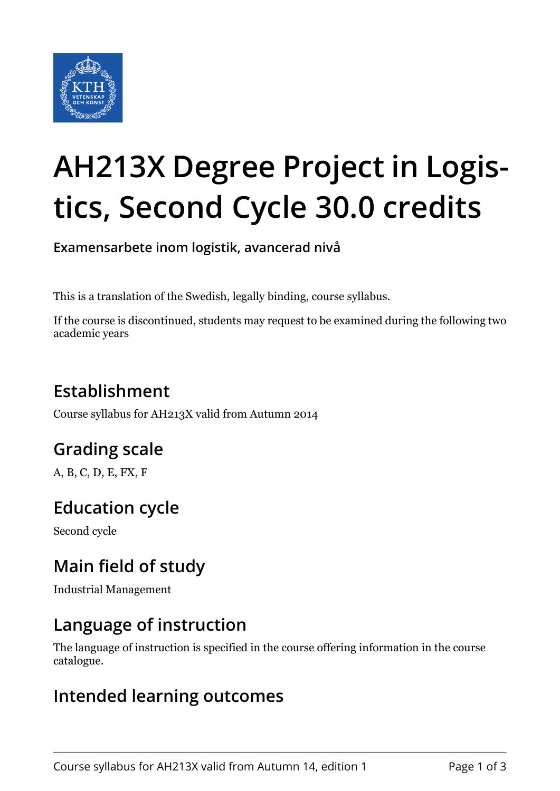

# **AH213X Degree Project in Logistics, Second Cycle 30.0 credits**

**Examensarbete inom logistik, avancerad nivå**

This is a translation of the Swedish, legally binding, course syllabus.

If the course is discontinued, students may request to be examined during the following two academic years

# **Establishment**

Course syllabus for AH213X valid from Autumn 2014

# **Grading scale**

A, B, C, D, E, FX, F

# **Education cycle**

Second cycle

# **Main field of study**

Industrial Management

## **Language of instruction**

The language of instruction is specified in the course offering information in the course catalogue.

#### **Intended learning outcomes**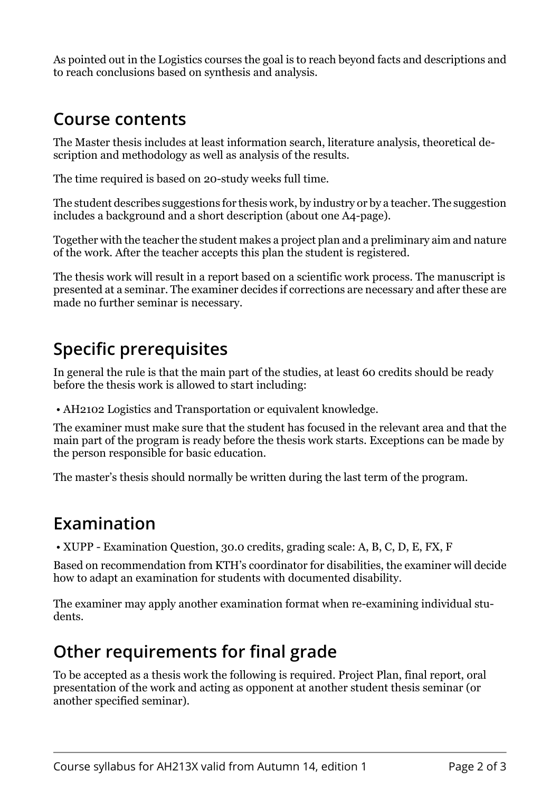As pointed out in the Logistics courses the goal is to reach beyond facts and descriptions and to reach conclusions based on synthesis and analysis.

## **Course contents**

The Master thesis includes at least information search, literature analysis, theoretical description and methodology as well as analysis of the results.

The time required is based on 20-study weeks full time.

The student describes suggestions for thesis work, by industry or by a teacher. The suggestion includes a background and a short description (about one A4-page).

Together with the teacher the student makes a project plan and a preliminary aim and nature of the work. After the teacher accepts this plan the student is registered.

The thesis work will result in a report based on a scientific work process. The manuscript is presented at a seminar. The examiner decides if corrections are necessary and after these are made no further seminar is necessary.

## **Specific prerequisites**

In general the rule is that the main part of the studies, at least 60 credits should be ready before the thesis work is allowed to start including:

• AH2102 Logistics and Transportation or equivalent knowledge.

The examiner must make sure that the student has focused in the relevant area and that the main part of the program is ready before the thesis work starts. Exceptions can be made by the person responsible for basic education.

The master's thesis should normally be written during the last term of the program.

#### **Examination**

• XUPP - Examination Question, 30.0 credits, grading scale: A, B, C, D, E, FX, F

Based on recommendation from KTH's coordinator for disabilities, the examiner will decide how to adapt an examination for students with documented disability.

The examiner may apply another examination format when re-examining individual students.

## **Other requirements for final grade**

To be accepted as a thesis work the following is required. Project Plan, final report, oral presentation of the work and acting as opponent at another student thesis seminar (or another specified seminar).